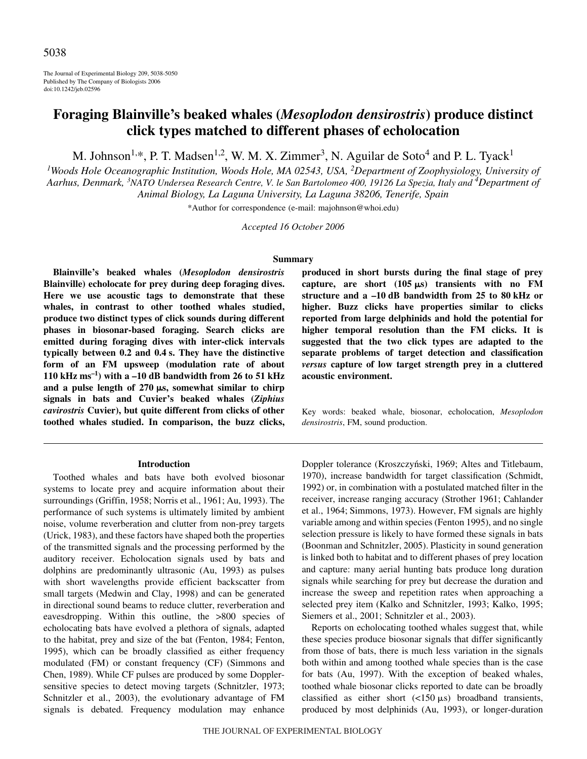The Journal of Experimental Biology 209, 5038-5050 Published by The Company of Biologists 2006 doi:10.1242/jeb.02596

# **Foraging Blainville's beaked whales (***Mesoplodon densirostris***) produce distinct click types matched to different phases of echolocation**

M. Johnson<sup>1,\*</sup>, P. T. Madsen<sup>1,2</sup>, W. M. X. Zimmer<sup>3</sup>, N. Aguilar de Soto<sup>4</sup> and P. L. Tyack<sup>1</sup>

<sup>1</sup>Woods Hole Oceanographic Institution, Woods Hole, MA 02543, USA, <sup>2</sup>Department of Zoophysiology, University of *Aarhus, Denmark, 3 NATO Undersea Research Centre, V. le San Bartolomeo 400, 19126 La Spezia, Italy and <sup>4</sup> Department of Animal Biology, La Laguna University, La Laguna 38206, Tenerife, Spain*

\*Author for correspondence (e-mail: majohnson@whoi.edu)

*Accepted 16 October 2006*

### **Summary**

**Blainville's beaked whales (***Mesoplodon densirostris* **Blainville) echolocate for prey during deep foraging dives. Here we use acoustic tags to demonstrate that these whales, in contrast to other toothed whales studied, produce two distinct types of click sounds during different phases in biosonar-based foraging. Search clicks are emitted during foraging dives with inter-click intervals** typically between 0.2 and 0.4 s. They have the distinctive **form of an FM upsweep (modulation rate of about** 110 kHz  $ms^{-1}$ ) with a –10 dB bandwidth from 26 to 51 kHz and a pulse length of 270  $\mu$ s, somewhat similar to chirp **signals in bats and Cuvier's beaked whales (***Ziphius cavirostris* **Cuvier), but quite different from clicks of other toothed whales studied. In comparison, the buzz clicks,**

#### **Introduction**

Toothed whales and bats have both evolved biosonar systems to locate prey and acquire information about their surroundings (Griffin, 1958; Norris et al., 1961; Au, 1993). The performance of such systems is ultimately limited by ambient noise, volume reverberation and clutter from non-prey targets (Urick, 1983), and these factors have shaped both the properties of the transmitted signals and the processing performed by the auditory receiver. Echolocation signals used by bats and dolphins are predominantly ultrasonic (Au, 1993) as pulses with short wavelengths provide efficient backscatter from small targets (Medwin and Clay, 1998) and can be generated in directional sound beams to reduce clutter, reverberation and eavesdropping. Within this outline, the >800 species of echolocating bats have evolved a plethora of signals, adapted to the habitat, prey and size of the bat (Fenton, 1984; Fenton, 1995), which can be broadly classified as either frequency modulated (FM) or constant frequency (CF) (Simmons and Chen, 1989). While CF pulses are produced by some Dopplersensitive species to detect moving targets (Schnitzler, 1973; Schnitzler et al., 2003), the evolutionary advantage of FM signals is debated. Frequency modulation may enhance **produced in short bursts during the final stage of prey** capture, are short (105  $\mu$ s) transients with no FM **structure and a –10·dB bandwidth from 25 to 80·kHz or higher. Buzz clicks have properties similar to clicks reported from large delphinids and hold the potential for higher temporal resolution than the FM clicks. It is suggested that the two click types are adapted to the separate problems of target detection and classification** *versus* **capture of low target strength prey in a cluttered acoustic environment.** 

Key words: beaked whale, biosonar, echolocation, *Mesoplodon densirostris*, FM, sound production.

Doppler tolerance (Kroszczyński, 1969; Altes and Titlebaum, 1970), increase bandwidth for target classification (Schmidt, 1992) or, in combination with a postulated matched filter in the receiver, increase ranging accuracy (Strother 1961; Cahlander et al., 1964; Simmons, 1973). However, FM signals are highly variable among and within species (Fenton 1995), and no single selection pressure is likely to have formed these signals in bats (Boonman and Schnitzler, 2005). Plasticity in sound generation is linked both to habitat and to different phases of prey location and capture: many aerial hunting bats produce long duration signals while searching for prey but decrease the duration and increase the sweep and repetition rates when approaching a selected prey item (Kalko and Schnitzler, 1993; Kalko, 1995; Siemers et al., 2001; Schnitzler et al., 2003).

Reports on echolocating toothed whales suggest that, while these species produce biosonar signals that differ significantly from those of bats, there is much less variation in the signals both within and among toothed whale species than is the case for bats (Au, 1997). With the exception of beaked whales, toothed whale biosonar clicks reported to date can be broadly classified as either short  $\left(\langle 150 \mu s \rangle \right)$  broadband transients, produced by most delphinids (Au, 1993), or longer-duration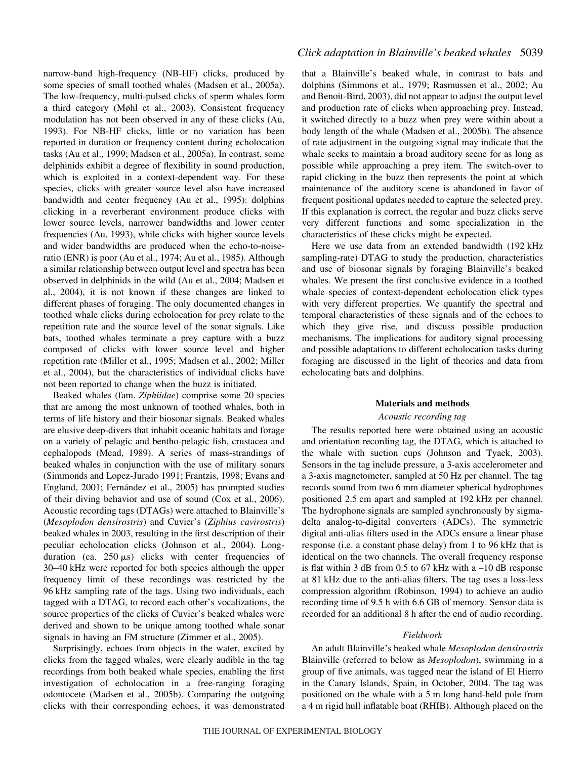narrow-band high-frequency (NB-HF) clicks, produced by some species of small toothed whales (Madsen et al., 2005a). The low-frequency, multi-pulsed clicks of sperm whales form a third category (Møhl et al., 2003). Consistent frequency modulation has not been observed in any of these clicks (Au, 1993). For NB-HF clicks, little or no variation has been reported in duration or frequency content during echolocation tasks (Au et al., 1999; Madsen et al., 2005a). In contrast, some delphinids exhibit a degree of flexibility in sound production, which is exploited in a context-dependent way. For these species, clicks with greater source level also have increased bandwidth and center frequency (Au et al., 1995): dolphins clicking in a reverberant environment produce clicks with lower source levels, narrower bandwidths and lower center frequencies (Au, 1993), while clicks with higher source levels and wider bandwidths are produced when the echo-to-noiseratio (ENR) is poor (Au et al., 1974; Au et al., 1985). Although a similar relationship between output level and spectra has been observed in delphinids in the wild (Au et al., 2004; Madsen et al., 2004), it is not known if these changes are linked to different phases of foraging. The only documented changes in toothed whale clicks during echolocation for prey relate to the repetition rate and the source level of the sonar signals. Like bats, toothed whales terminate a prey capture with a buzz composed of clicks with lower source level and higher repetition rate (Miller et al., 1995; Madsen et al., 2002; Miller et al., 2004), but the characteristics of individual clicks have not been reported to change when the buzz is initiated.

Beaked whales (fam. *Ziphiidae*) comprise some 20 species that are among the most unknown of toothed whales, both in terms of life history and their biosonar signals. Beaked whales are elusive deep-divers that inhabit oceanic habitats and forage on a variety of pelagic and bentho-pelagic fish, crustacea and cephalopods (Mead, 1989). A series of mass-strandings of beaked whales in conjunction with the use of military sonars (Simmonds and Lopez-Jurado 1991; Frantzis, 1998; Evans and England, 2001; Fernández et al., 2005) has prompted studies of their diving behavior and use of sound (Cox et al., 2006). Acoustic recording tags (DTAGs) were attached to Blainville's (*Mesoplodon densirostris*) and Cuvier's (*Ziphius cavirostris*) beaked whales in 2003, resulting in the first description of their peculiar echolocation clicks (Johnson et al., 2004). Longduration (ca.  $250 \mu s$ ) clicks with center frequencies of 30–40 kHz were reported for both species although the upper frequency limit of these recordings was restricted by the 96 kHz sampling rate of the tags. Using two individuals, each tagged with a DTAG, to record each other's vocalizations, the source properties of the clicks of Cuvier's beaked whales were derived and shown to be unique among toothed whale sonar signals in having an FM structure (Zimmer et al., 2005).

Surprisingly, echoes from objects in the water, excited by clicks from the tagged whales, were clearly audible in the tag recordings from both beaked whale species, enabling the first investigation of echolocation in a free-ranging foraging odontocete (Madsen et al., 2005b). Comparing the outgoing clicks with their corresponding echoes, it was demonstrated that a Blainville's beaked whale, in contrast to bats and dolphins (Simmons et al., 1979; Rasmussen et al., 2002; Au and Benoit-Bird, 2003), did not appear to adjust the output level and production rate of clicks when approaching prey. Instead, it switched directly to a buzz when prey were within about a body length of the whale (Madsen et al., 2005b). The absence of rate adjustment in the outgoing signal may indicate that the whale seeks to maintain a broad auditory scene for as long as possible while approaching a prey item. The switch-over to rapid clicking in the buzz then represents the point at which maintenance of the auditory scene is abandoned in favor of frequent positional updates needed to capture the selected prey. If this explanation is correct, the regular and buzz clicks serve very different functions and some specialization in the characteristics of these clicks might be expected.

Here we use data from an extended bandwidth (192 kHz sampling-rate) DTAG to study the production, characteristics and use of biosonar signals by foraging Blainville's beaked whales. We present the first conclusive evidence in a toothed whale species of context-dependent echolocation click types with very different properties. We quantify the spectral and temporal characteristics of these signals and of the echoes to which they give rise, and discuss possible production mechanisms. The implications for auditory signal processing and possible adaptations to different echolocation tasks during foraging are discussed in the light of theories and data from echolocating bats and dolphins.

## **Materials and methods**

### *Acoustic recording tag*

The results reported here were obtained using an acoustic and orientation recording tag, the DTAG, which is attached to the whale with suction cups (Johnson and Tyack, 2003). Sensors in the tag include pressure, a 3-axis accelerometer and a 3-axis magnetometer, sampled at 50 Hz per channel. The tag records sound from two 6 mm diameter spherical hydrophones positioned 2.5 cm apart and sampled at 192 kHz per channel. The hydrophone signals are sampled synchronously by sigmadelta analog-to-digital converters (ADCs). The symmetric digital anti-alias filters used in the ADCs ensure a linear phase response (i.e. a constant phase delay) from 1 to 96 kHz that is identical on the two channels. The overall frequency response is flat within 3 dB from 0.5 to 67 kHz with a  $-10$  dB response at 81 kHz due to the anti-alias filters. The tag uses a loss-less compression algorithm (Robinson, 1994) to achieve an audio recording time of 9.5 h with 6.6 GB of memory. Sensor data is recorded for an additional 8 h after the end of audio recording.

## *Fieldwork*

An adult Blainville's beaked whale *Mesoplodon densirostris* Blainville (referred to below as *Mesoplodon*), swimming in a group of five animals, was tagged near the island of El Hierro in the Canary Islands, Spain, in October, 2004. The tag was positioned on the whale with a 5 m long hand-held pole from a 4 m rigid hull inflatable boat (RHIB). Although placed on the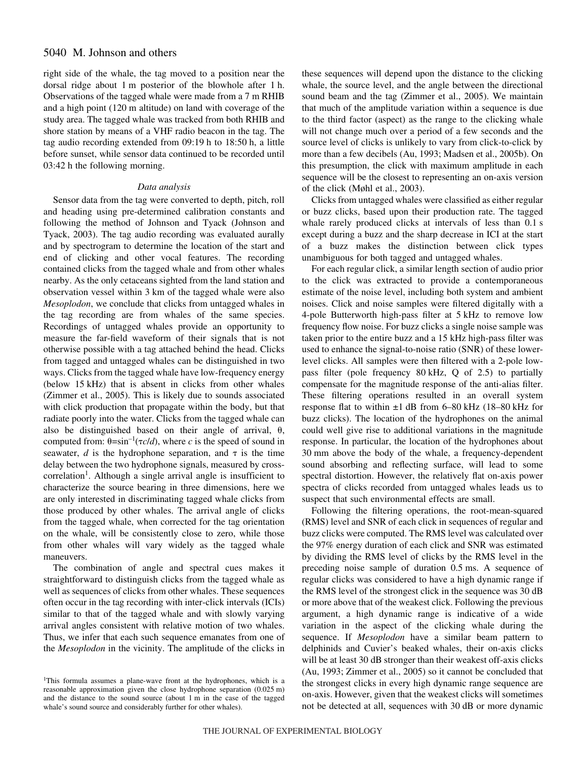## 5040 M. Johnson and others

right side of the whale, the tag moved to a position near the dorsal ridge about 1 m posterior of the blowhole after 1 h. Observations of the tagged whale were made from a 7 m RHIB and a high point (120 m altitude) on land with coverage of the study area. The tagged whale was tracked from both RHIB and shore station by means of a VHF radio beacon in the tag. The tag audio recording extended from 09:19 h to 18:50 h, a little before sunset, while sensor data continued to be recorded until  $03:42$  h the following morning.

### *Data analysis*

Sensor data from the tag were converted to depth, pitch, roll and heading using pre-determined calibration constants and following the method of Johnson and Tyack (Johnson and Tyack, 2003). The tag audio recording was evaluated aurally and by spectrogram to determine the location of the start and end of clicking and other vocal features. The recording contained clicks from the tagged whale and from other whales nearby. As the only cetaceans sighted from the land station and observation vessel within 3 km of the tagged whale were also *Mesoplodon*, we conclude that clicks from untagged whales in the tag recording are from whales of the same species. Recordings of untagged whales provide an opportunity to measure the far-field waveform of their signals that is not otherwise possible with a tag attached behind the head. Clicks from tagged and untagged whales can be distinguished in two ways. Clicks from the tagged whale have low-frequency energy (below 15 kHz) that is absent in clicks from other whales (Zimmer et al., 2005). This is likely due to sounds associated with click production that propagate within the body, but that radiate poorly into the water. Clicks from the tagged whale can also be distinguished based on their angle of arrival,  $\theta$ , computed from:  $\theta = \sin^{-1}(\tau c/d)$ , where *c* is the speed of sound in seawater,  $d$  is the hydrophone separation, and  $\tau$  is the time delay between the two hydrophone signals, measured by crosscorrelation<sup>1</sup>. Although a single arrival angle is insufficient to characterize the source bearing in three dimensions, here we are only interested in discriminating tagged whale clicks from those produced by other whales. The arrival angle of clicks from the tagged whale, when corrected for the tag orientation on the whale, will be consistently close to zero, while those from other whales will vary widely as the tagged whale maneuvers.

The combination of angle and spectral cues makes it straightforward to distinguish clicks from the tagged whale as well as sequences of clicks from other whales. These sequences often occur in the tag recording with inter-click intervals (ICIs) similar to that of the tagged whale and with slowly varying arrival angles consistent with relative motion of two whales. Thus, we infer that each such sequence emanates from one of the *Mesoplodon* in the vicinity. The amplitude of the clicks in these sequences will depend upon the distance to the clicking whale, the source level, and the angle between the directional sound beam and the tag (Zimmer et al., 2005). We maintain that much of the amplitude variation within a sequence is due to the third factor (aspect) as the range to the clicking whale will not change much over a period of a few seconds and the source level of clicks is unlikely to vary from click-to-click by more than a few decibels (Au, 1993; Madsen et al., 2005b). On this presumption, the click with maximum amplitude in each sequence will be the closest to representing an on-axis version of the click (Møhl et al., 2003).

Clicks from untagged whales were classified as either regular or buzz clicks, based upon their production rate. The tagged whale rarely produced clicks at intervals of less than 0.1 s except during a buzz and the sharp decrease in ICI at the start of a buzz makes the distinction between click types unambiguous for both tagged and untagged whales.

For each regular click, a similar length section of audio prior to the click was extracted to provide a contemporaneous estimate of the noise level, including both system and ambient noises. Click and noise samples were filtered digitally with a 4-pole Butterworth high-pass filter at 5 kHz to remove low frequency flow noise. For buzz clicks a single noise sample was taken prior to the entire buzz and a 15 kHz high-pass filter was used to enhance the signal-to-noise ratio (SNR) of these lowerlevel clicks. All samples were then filtered with a 2-pole lowpass filter (pole frequency 80 kHz, Q of 2.5) to partially compensate for the magnitude response of the anti-alias filter. These filtering operations resulted in an overall system response flat to within  $\pm 1$  dB from 6–80 kHz (18–80 kHz for buzz clicks). The location of the hydrophones on the animal could well give rise to additional variations in the magnitude response. In particular, the location of the hydrophones about 30 mm above the body of the whale, a frequency-dependent sound absorbing and reflecting surface, will lead to some spectral distortion. However, the relatively flat on-axis power spectra of clicks recorded from untagged whales leads us to suspect that such environmental effects are small.

Following the filtering operations, the root-mean-squared (RMS) level and SNR of each click in sequences of regular and buzz clicks were computed. The RMS level was calculated over the 97% energy duration of each click and SNR was estimated by dividing the RMS level of clicks by the RMS level in the preceding noise sample of duration 0.5 ms. A sequence of regular clicks was considered to have a high dynamic range if the RMS level of the strongest click in the sequence was 30·dB or more above that of the weakest click. Following the previous argument, a high dynamic range is indicative of a wide variation in the aspect of the clicking whale during the sequence. If *Mesoplodon* have a similar beam pattern to delphinids and Cuvier's beaked whales, their on-axis clicks will be at least 30 dB stronger than their weakest off-axis clicks (Au, 1993; Zimmer et al., 2005) so it cannot be concluded that the strongest clicks in every high dynamic range sequence are on-axis. However, given that the weakest clicks will sometimes not be detected at all, sequences with 30 dB or more dynamic

<sup>&</sup>lt;sup>1</sup>This formula assumes a plane-wave front at the hydrophones, which is a reasonable approximation given the close hydrophone separation (0.025 m) and the distance to the sound source (about  $1 \text{ m}$  in the case of the tagged whale's sound source and considerably further for other whales).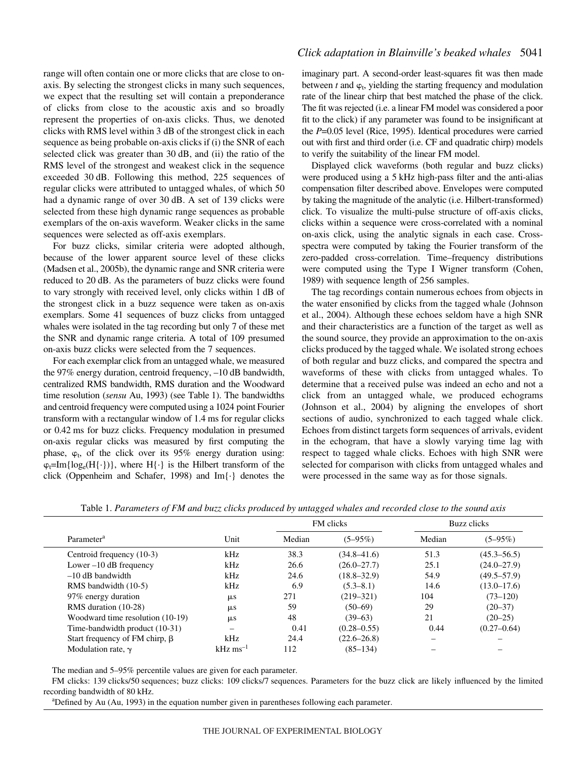range will often contain one or more clicks that are close to onaxis. By selecting the strongest clicks in many such sequences, we expect that the resulting set will contain a preponderance of clicks from close to the acoustic axis and so broadly represent the properties of on-axis clicks. Thus, we denoted clicks with RMS level within 3 dB of the strongest click in each sequence as being probable on-axis clicks if (i) the SNR of each selected click was greater than 30 dB, and (ii) the ratio of the RMS level of the strongest and weakest click in the sequence exceeded 30 dB. Following this method, 225 sequences of regular clicks were attributed to untagged whales, of which 50 had a dynamic range of over 30 dB. A set of 139 clicks were selected from these high dynamic range sequences as probable exemplars of the on-axis waveform. Weaker clicks in the same sequences were selected as off-axis exemplars.

For buzz clicks, similar criteria were adopted although, because of the lower apparent source level of these clicks (Madsen et al., 2005b), the dynamic range and SNR criteria were reduced to 20 dB. As the parameters of buzz clicks were found to vary strongly with received level, only clicks within 1 dB of the strongest click in a buzz sequence were taken as on-axis exemplars. Some 41 sequences of buzz clicks from untagged whales were isolated in the tag recording but only 7 of these met the SNR and dynamic range criteria. A total of 109 presumed on-axis buzz clicks were selected from the 7 sequences.

For each exemplar click from an untagged whale, we measured the 97% energy duration, centroid frequency, -10 dB bandwidth, centralized RMS bandwidth, RMS duration and the Woodward time resolution (*sensu* Au, 1993) (see Table 1). The bandwidths and centroid frequency were computed using a 1024 point Fourier transform with a rectangular window of 1.4 ms for regular clicks or 0.42 ms for buzz clicks. Frequency modulation in presumed on-axis regular clicks was measured by first computing the phase,  $\varphi_t$ , of the click over its 95% energy duration using:  $\varphi_1 = Im\{log_e(H\{\cdot\})\}$ , where  $H\{\cdot\}$  is the Hilbert transform of the click (Oppenheim and Schafer, 1998) and Im{·} denotes the

## *Click adaptation in Blainville's beaked whales* 5041

imaginary part. A second-order least-squares fit was then made between  $t$  and  $\varphi_t$ , yielding the starting frequency and modulation rate of the linear chirp that best matched the phase of the click. The fit was rejected (i.e. a linear FM model was considered a poor fit to the click) if any parameter was found to be insignificant at the *P*=0.05 level (Rice, 1995). Identical procedures were carried out with first and third order (i.e. CF and quadratic chirp) models to verify the suitability of the linear FM model.

Displayed click waveforms (both regular and buzz clicks) were produced using a 5 kHz high-pass filter and the anti-alias compensation filter described above. Envelopes were computed by taking the magnitude of the analytic (i.e. Hilbert-transformed) click. To visualize the multi-pulse structure of off-axis clicks, clicks within a sequence were cross-correlated with a nominal on-axis click, using the analytic signals in each case. Crossspectra were computed by taking the Fourier transform of the zero-padded cross-correlation. Time–frequency distributions were computed using the Type I Wigner transform (Cohen, 1989) with sequence length of 256 samples.

The tag recordings contain numerous echoes from objects in the water ensonified by clicks from the tagged whale (Johnson et al., 2004). Although these echoes seldom have a high SNR and their characteristics are a function of the target as well as the sound source, they provide an approximation to the on-axis clicks produced by the tagged whale. We isolated strong echoes of both regular and buzz clicks, and compared the spectra and waveforms of these with clicks from untagged whales. To determine that a received pulse was indeed an echo and not a click from an untagged whale, we produced echograms (Johnson et al., 2004) by aligning the envelopes of short sections of audio, synchronized to each tagged whale click. Echoes from distinct targets form sequences of arrivals, evident in the echogram, that have a slowly varying time lag with respect to tagged whale clicks. Echoes with high SNR were selected for comparison with clicks from untagged whales and were processed in the same way as for those signals.

| Parameter <sup>a</sup>               | Unit                  | <b>FM</b> clicks |                 | Buzz clicks |                 |
|--------------------------------------|-----------------------|------------------|-----------------|-------------|-----------------|
|                                      |                       | Median           | $(5 - 95\%)$    | Median      | $(5 - 95\%)$    |
| Centroid frequency (10-3)            | kHz                   | 38.3             | $(34.8 - 41.6)$ | 51.3        | $(45.3 - 56.5)$ |
| Lower $-10$ dB frequency             | kHz                   | 26.6             | $(26.0 - 27.7)$ | 25.1        | $(24.0 - 27.9)$ |
| $-10$ dB bandwidth                   | kHz                   | 24.6             | $(18.8 - 32.9)$ | 54.9        | $(49.5 - 57.9)$ |
| RMS bandwidth (10-5)                 | kHz                   | 6.9              | $(5.3 - 8.1)$   | 14.6        | $(13.0 - 17.6)$ |
| 97% energy duration                  | $\mu$ s               | 271              | $(219 - 321)$   | 104         | $(73-120)$      |
| RMS duration (10-28)                 | $\mu$ s               | 59               | $(50-69)$       | 29          | $(20-37)$       |
| Woodward time resolution $(10-19)$   | $\mu$ s               | 48               | $(39-63)$       | 21          | $(20-25)$       |
| Time-bandwidth product (10-31)       |                       | 0.41             | $(0.28 - 0.55)$ | 0.44        | $(0.27 - 0.64)$ |
| Start frequency of FM chirp, $\beta$ | kHz                   | 24.4             | $(22.6 - 26.8)$ |             |                 |
| Modulation rate, $\gamma$            | $kHz \text{ ms}^{-1}$ | 112              | $(85-134)$      |             |                 |

Table 1. *Parameters of FM and buzz clicks produced by untagged whales and recorded close to the sound axis* 

The median and 5–95% percentile values are given for each parameter.

FM clicks: 139 clicks/50 sequences; buzz clicks: 109 clicks/7 sequences. Parameters for the buzz click are likely influenced by the limited recording bandwidth of 80 kHz.

<sup>a</sup>Defined by Au (Au, 1993) in the equation number given in parentheses following each parameter.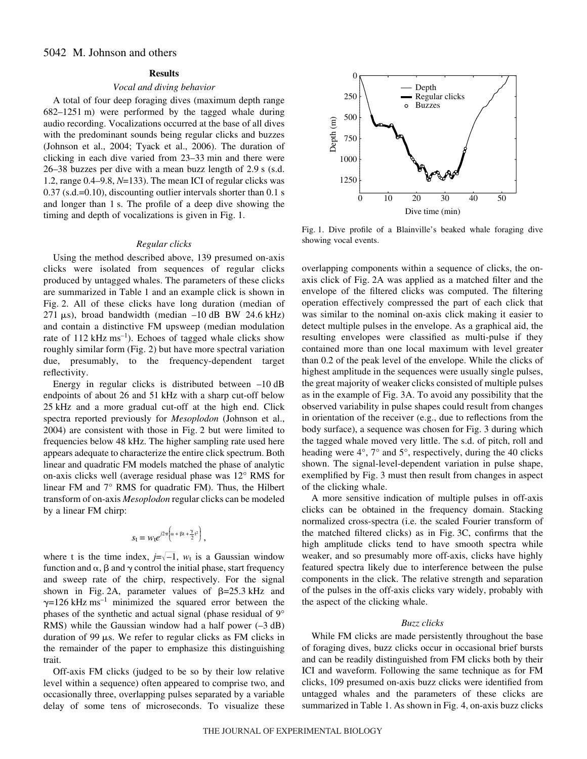## **Results**

### *Vocal and diving behavior*

A total of four deep foraging dives (maximum depth range  $682-1251$  m) were performed by the tagged whale during audio recording. Vocalizations occurred at the base of all dives with the predominant sounds being regular clicks and buzzes (Johnson et al., 2004; Tyack et al., 2006). The duration of clicking in each dive varied from 23–33 min and there were  $26-38$  buzzes per dive with a mean buzz length of  $2.9$  s (s.d. 1.2, range 0.4–9.8, *N*=133). The mean ICI of regular clicks was  $0.37$  (s.d.= $0.10$ ), discounting outlier intervals shorter than  $0.1\$ s and longer than 1 s. The profile of a deep dive showing the timing and depth of vocalizations is given in Fig. 1.

#### *Regular clicks*

Using the method described above, 139 presumed on-axis clicks were isolated from sequences of regular clicks produced by untagged whales. The parameters of these clicks are summarized in Table 1 and an example click is shown in Fig. 2. All of these clicks have long duration (median of  $271 \mu s$ ), broad bandwidth (median  $-10$  dB BW 24.6 kHz) and contain a distinctive FM upsweep (median modulation rate of 112 kHz  $\text{ms}^{-1}$ ). Echoes of tagged whale clicks show roughly similar form (Fig. 2) but have more spectral variation due, presumably, to the frequency-dependent target reflectivity.

Energy in regular clicks is distributed between  $-10$  dB endpoints of about 26 and 51 kHz with a sharp cut-off below 25 kHz and a more gradual cut-off at the high end. Click spectra reported previously for *Mesoplodon* (Johnson et al., 2004) are consistent with those in Fig. 2 but were limited to frequencies below 48 kHz. The higher sampling rate used here appears adequate to characterize the entire click spectrum. Both linear and quadratic FM models matched the phase of analytic on-axis clicks well (average residual phase was 12° RMS for linear FM and 7° RMS for quadratic FM). Thus, the Hilbert transform of on-axis *Mesoplodon* regular clicks can be modeled by a linear FM chirp:

$$
s_{t} = w_{t}e^{j2\pi\left(\alpha + \beta t + \frac{\gamma}{2}t^{2}\right)},
$$

where t is the time index,  $j=\sqrt{-1}$ ,  $w_t$  is a Gaussian window function and  $\alpha$ ,  $\beta$  and  $\gamma$  control the initial phase, start frequency and sweep rate of the chirp, respectively. For the signal shown in Fig. 2A, parameter values of  $\beta = 25.3$  kHz and  $\gamma$ =126 kHz ms<sup>-1</sup> minimized the squared error between the phases of the synthetic and actual signal (phase residual of 9° RMS) while the Gaussian window had a half power  $(-3 dB)$ duration of 99  $\mu$ s. We refer to regular clicks as FM clicks in the remainder of the paper to emphasize this distinguishing trait.

Off-axis FM clicks (judged to be so by their low relative level within a sequence) often appeared to comprise two, and occasionally three, overlapping pulses separated by a variable delay of some tens of microseconds. To visualize these



Fig. 1. Dive profile of a Blainville's beaked whale foraging dive showing vocal events.

overlapping components within a sequence of clicks, the onaxis click of Fig. 2A was applied as a matched filter and the envelope of the filtered clicks was computed. The filtering operation effectively compressed the part of each click that was similar to the nominal on-axis click making it easier to detect multiple pulses in the envelope. As a graphical aid, the resulting envelopes were classified as multi-pulse if they contained more than one local maximum with level greater than 0.2 of the peak level of the envelope. While the clicks of highest amplitude in the sequences were usually single pulses, the great majority of weaker clicks consisted of multiple pulses as in the example of Fig. 3A. To avoid any possibility that the observed variability in pulse shapes could result from changes in orientation of the receiver (e.g., due to reflections from the body surface), a sequence was chosen for Fig. 3 during which the tagged whale moved very little. The s.d. of pitch, roll and heading were  $4^{\circ}$ ,  $7^{\circ}$  and  $5^{\circ}$ , respectively, during the 40 clicks shown. The signal-level-dependent variation in pulse shape, exemplified by Fig. 3 must then result from changes in aspect of the clicking whale.

A more sensitive indication of multiple pulses in off-axis clicks can be obtained in the frequency domain. Stacking normalized cross-spectra (i.e. the scaled Fourier transform of the matched filtered clicks) as in Fig. 3C, confirms that the high amplitude clicks tend to have smooth spectra while weaker, and so presumably more off-axis, clicks have highly featured spectra likely due to interference between the pulse components in the click. The relative strength and separation of the pulses in the off-axis clicks vary widely, probably with the aspect of the clicking whale.

#### *Buzz clicks*

While FM clicks are made persistently throughout the base of foraging dives, buzz clicks occur in occasional brief bursts and can be readily distinguished from FM clicks both by their ICI and waveform. Following the same technique as for FM clicks, 109 presumed on-axis buzz clicks were identified from untagged whales and the parameters of these clicks are summarized in Table 1. As shown in Fig. 4, on-axis buzz clicks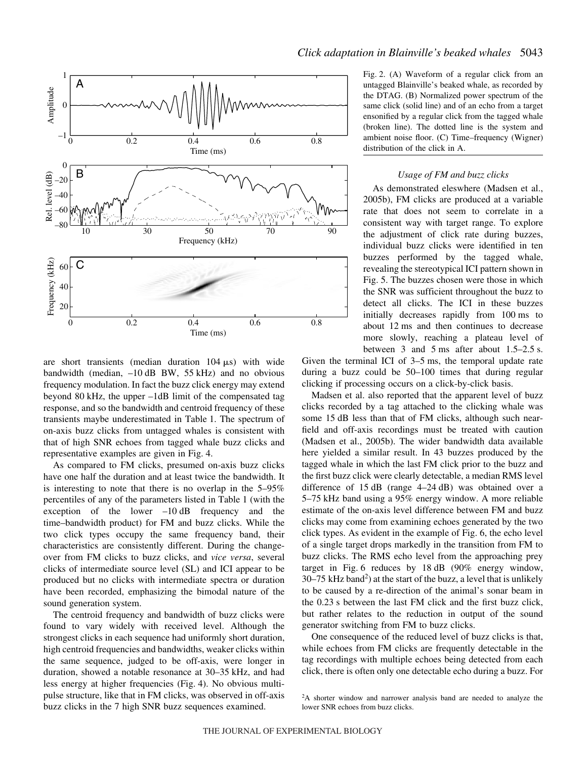

*Click adaptation in Blainville's beaked whales* 5043

are short transients (median duration  $104 \mu s$ ) with wide bandwidth (median, -10 dB BW, 55 kHz) and no obvious frequency modulation. In fact the buzz click energy may extend beyond 80 kHz, the upper –1dB limit of the compensated tag response, and so the bandwidth and centroid frequency of these transients maybe underestimated in Table 1. The spectrum of on-axis buzz clicks from untagged whales is consistent with that of high SNR echoes from tagged whale buzz clicks and representative examples are given in Fig. 4. As compared to FM clicks, presumed on-axis buzz clicks

have one half the duration and at least twice the bandwidth. It is interesting to note that there is no overlap in the 5–95% percentiles of any of the parameters listed in Table 1 (with the exception of the lower  $-10$  dB frequency and the time–bandwidth product) for FM and buzz clicks. While the two click types occupy the same frequency band, their characteristics are consistently different. During the changeover from FM clicks to buzz clicks, and *vice versa*, several clicks of intermediate source level (SL) and ICI appear to be produced but no clicks with intermediate spectra or duration have been recorded, emphasizing the bimodal nature of the sound generation system.

The centroid frequency and bandwidth of buzz clicks were found to vary widely with received level. Although the strongest clicks in each sequence had uniformly short duration, high centroid frequencies and bandwidths, weaker clicks within the same sequence, judged to be off-axis, were longer in duration, showed a notable resonance at 30–35 kHz, and had less energy at higher frequencies (Fig. 4). No obvious multipulse structure, like that in FM clicks, was observed in off-axis buzz clicks in the 7 high SNR buzz sequences examined.

Fig. 2. (A) Waveform of a regular click from an untagged Blainville's beaked whale, as recorded by the DTAG. (B) Normalized power spectrum of the same click (solid line) and of an echo from a target ensonified by a regular click from the tagged whale (broken line). The dotted line is the system and ambient noise floor. (C) Time–frequency (Wigner) distribution of the click in A.

## *Usage of FM and buzz clicks*

As demonstrated eleswhere (Madsen et al., 2005b), FM clicks are produced at a variable rate that does not seem to correlate in a consistent way with target range. To explore the adjustment of click rate during buzzes, individual buzz clicks were identified in ten buzzes performed by the tagged whale, revealing the stereotypical ICI pattern shown in Fig. 5. The buzzes chosen were those in which the SNR was sufficient throughout the buzz to detect all clicks. The ICI in these buzzes initially decreases rapidly from 100 ms to about 12 ms and then continues to decrease more slowly, reaching a plateau level of between 3 and 5 ms after about  $1.5-2.5$  s.

Given the terminal ICI of  $3-5$  ms, the temporal update rate during a buzz could be 50–100 times that during regular clicking if processing occurs on a click-by-click basis.

Madsen et al. also reported that the apparent level of buzz clicks recorded by a tag attached to the clicking whale was some 15 dB less than that of FM clicks, although such nearfield and off-axis recordings must be treated with caution (Madsen et al., 2005b). The wider bandwidth data available here yielded a similar result. In 43 buzzes produced by the tagged whale in which the last FM click prior to the buzz and the first buzz click were clearly detectable, a median RMS level difference of  $15$  dB (range  $4-24$  dB) was obtained over a 5–75 kHz band using a 95% energy window. A more reliable estimate of the on-axis level difference between FM and buzz clicks may come from examining echoes generated by the two click types. As evident in the example of Fig. 6, the echo level of a single target drops markedly in the transition from FM to buzz clicks. The RMS echo level from the approaching prey target in Fig. 6 reduces by  $18 dB$  (90% energy window, 30–75 kHz band<sup>2</sup>) at the start of the buzz, a level that is unlikely to be caused by a re-direction of the animal's sonar beam in the 0.23 s between the last FM click and the first buzz click, but rather relates to the reduction in output of the sound generator switching from FM to buzz clicks.

One consequence of the reduced level of buzz clicks is that, while echoes from FM clicks are frequently detectable in the tag recordings with multiple echoes being detected from each click, there is often only one detectable echo during a buzz. For

<sup>&</sup>lt;sup>2</sup>A shorter window and narrower analysis band are needed to analyze the lower SNR echoes from buzz clicks.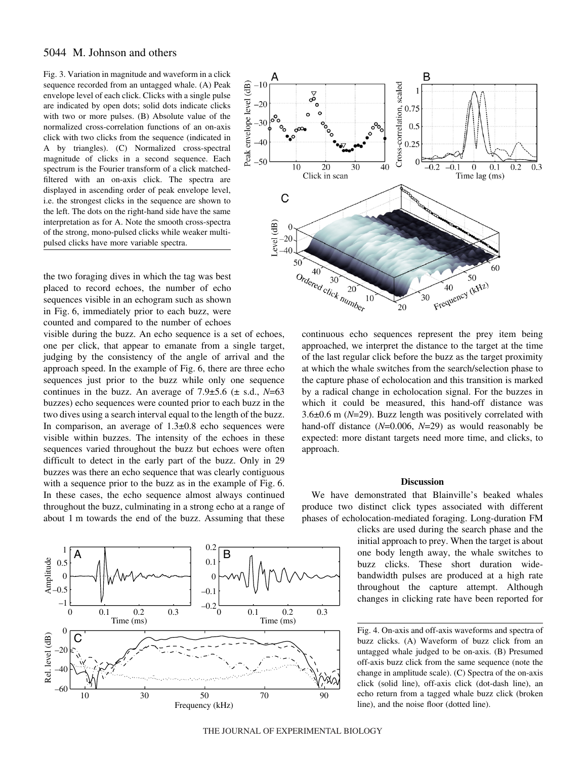## 5044 M. Johnson and others

Fig. 3. Variation in magnitude and waveform in a click sequence recorded from an untagged whale. (A) Peak envelope level of each click. Clicks with a single pulse are indicated by open dots; solid dots indicate clicks with two or more pulses. (B) Absolute value of the normalized cross-correlation functions of an on-axis click with two clicks from the sequence (indicated in A by triangles). (C) Normalized cross-spectral magnitude of clicks in a second sequence. Each spectrum is the Fourier transform of a click matchedfiltered with an on-axis click. The spectra are displayed in ascending order of peak envelope level, i.e. the strongest clicks in the sequence are shown to the left. The dots on the right-hand side have the same interpretation as for A. Note the smooth cross-spectra of the strong, mono-pulsed clicks while weaker multipulsed clicks have more variable spectra.

the two foraging dives in which the tag was best placed to record echoes, the number of echo sequences visible in an echogram such as shown in Fig. 6, immediately prior to each buzz, were counted and compared to the number of echoes

visible during the buzz. An echo sequence is a set of echoes, one per click, that appear to emanate from a single target, judging by the consistency of the angle of arrival and the approach speed. In the example of Fig. 6, there are three echo sequences just prior to the buzz while only one sequence continues in the buzz. An average of  $7.9\pm5.6$  ( $\pm$  s.d.,  $N=63$ ) buzzes) echo sequences were counted prior to each buzz in the two dives using a search interval equal to the length of the buzz. In comparison, an average of  $1.3\pm0.8$  echo sequences were visible within buzzes. The intensity of the echoes in these sequences varied throughout the buzz but echoes were often difficult to detect in the early part of the buzz. Only in 29 buzzes was there an echo sequence that was clearly contiguous with a sequence prior to the buzz as in the example of Fig. 6. In these cases, the echo sequence almost always continued throughout the buzz, culminating in a strong echo at a range of about 1 m towards the end of the buzz. Assuming that these





continuous echo sequences represent the prey item being approached, we interpret the distance to the target at the time of the last regular click before the buzz as the target proximity at which the whale switches from the search/selection phase to the capture phase of echolocation and this transition is marked by a radical change in echolocation signal. For the buzzes in which it could be measured, this hand-off distance was  $3.6\pm0.6$  m ( $N=29$ ). Buzz length was positively correlated with hand-off distance (*N*=0.006, *N*=29) as would reasonably be expected: more distant targets need more time, and clicks, to approach.

#### **Discussion**

We have demonstrated that Blainville's beaked whales produce two distinct click types associated with different phases of echolocation-mediated foraging. Long-duration FM

> clicks are used during the search phase and the initial approach to prey. When the target is about one body length away, the whale switches to buzz clicks. These short duration widebandwidth pulses are produced at a high rate throughout the capture attempt. Although changes in clicking rate have been reported for

> untagged whale judged to be on-axis. (B) Presumed off-axis buzz click from the same sequence (note the change in amplitude scale). (C) Spectra of the on-axis click (solid line), off-axis click (dot-dash line), an echo return from a tagged whale buzz click (broken line), and the noise floor (dotted line).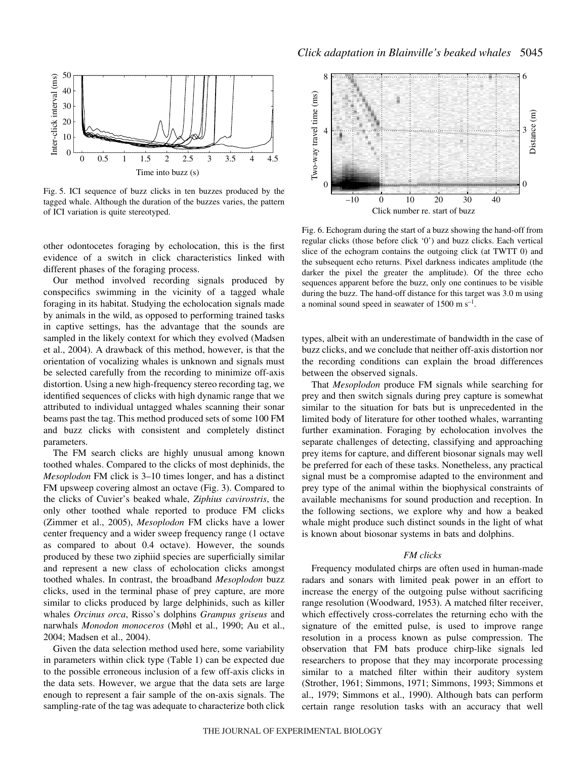

Fig. 5. ICI sequence of buzz clicks in ten buzzes produced by the tagged whale. Although the duration of the buzzes varies, the pattern of ICI variation is quite stereotyped.

other odontocetes foraging by echolocation, this is the first evidence of a switch in click characteristics linked with different phases of the foraging process.

Our method involved recording signals produced by conspecifics swimming in the vicinity of a tagged whale foraging in its habitat. Studying the echolocation signals made by animals in the wild, as opposed to performing trained tasks in captive settings, has the advantage that the sounds are sampled in the likely context for which they evolved (Madsen et al., 2004). A drawback of this method, however, is that the orientation of vocalizing whales is unknown and signals must be selected carefully from the recording to minimize off-axis distortion. Using a new high-frequency stereo recording tag, we identified sequences of clicks with high dynamic range that we attributed to individual untagged whales scanning their sonar beams past the tag. This method produced sets of some 100 FM and buzz clicks with consistent and completely distinct parameters.

The FM search clicks are highly unusual among known toothed whales. Compared to the clicks of most dephinids, the *Mesoplodon* FM click is 3–10 times longer, and has a distinct FM upsweep covering almost an octave (Fig. 3). Compared to the clicks of Cuvier's beaked whale, *Ziphius cavirostris*, the only other toothed whale reported to produce FM clicks (Zimmer et al., 2005), *Mesoplodon* FM clicks have a lower center frequency and a wider sweep frequency range (1 octave as compared to about 0.4 octave). However, the sounds produced by these two ziphiid species are superficially similar and represent a new class of echolocation clicks amongst toothed whales. In contrast, the broadband *Mesoplodon* buzz clicks, used in the terminal phase of prey capture, are more similar to clicks produced by large delphinids, such as killer whales *Orcinus orca*, Risso's dolphins *Grampus griseus* and narwhals *Monodon monoceros* (Møhl et al., 1990; Au et al., 2004; Madsen et al., 2004).

Given the data selection method used here, some variability in parameters within click type (Table 1) can be expected due to the possible erroneous inclusion of a few off-axis clicks in the data sets. However, we argue that the data sets are large enough to represent a fair sample of the on-axis signals. The sampling-rate of the tag was adequate to characterize both click



Fig. 6. Echogram during the start of a buzz showing the hand-off from regular clicks (those before click '0') and buzz clicks. Each vertical slice of the echogram contains the outgoing click (at TWTT 0) and the subsequent echo returns. Pixel darkness indicates amplitude (the darker the pixel the greater the amplitude). Of the three echo sequences apparent before the buzz, only one continues to be visible during the buzz. The hand-off distance for this target was 3.0 m using a nominal sound speed in seawater of  $1500 \text{ m s}^{-1}$ .

types, albeit with an underestimate of bandwidth in the case of buzz clicks, and we conclude that neither off-axis distortion nor the recording conditions can explain the broad differences between the observed signals.

That *Mesoplodon* produce FM signals while searching for prey and then switch signals during prey capture is somewhat similar to the situation for bats but is unprecedented in the limited body of literature for other toothed whales, warranting further examination. Foraging by echolocation involves the separate challenges of detecting, classifying and approaching prey items for capture, and different biosonar signals may well be preferred for each of these tasks. Nonetheless, any practical signal must be a compromise adapted to the environment and prey type of the animal within the biophysical constraints of available mechanisms for sound production and reception. In the following sections, we explore why and how a beaked whale might produce such distinct sounds in the light of what is known about biosonar systems in bats and dolphins.

### *FM clicks*

Frequency modulated chirps are often used in human-made radars and sonars with limited peak power in an effort to increase the energy of the outgoing pulse without sacrificing range resolution (Woodward, 1953). A matched filter receiver, which effectively cross-correlates the returning echo with the signature of the emitted pulse, is used to improve range resolution in a process known as pulse compression. The observation that FM bats produce chirp-like signals led researchers to propose that they may incorporate processing similar to a matched filter within their auditory system (Strother, 1961; Simmons, 1971; Simmons, 1993; Simmons et al., 1979; Simmons et al., 1990). Although bats can perform certain range resolution tasks with an accuracy that well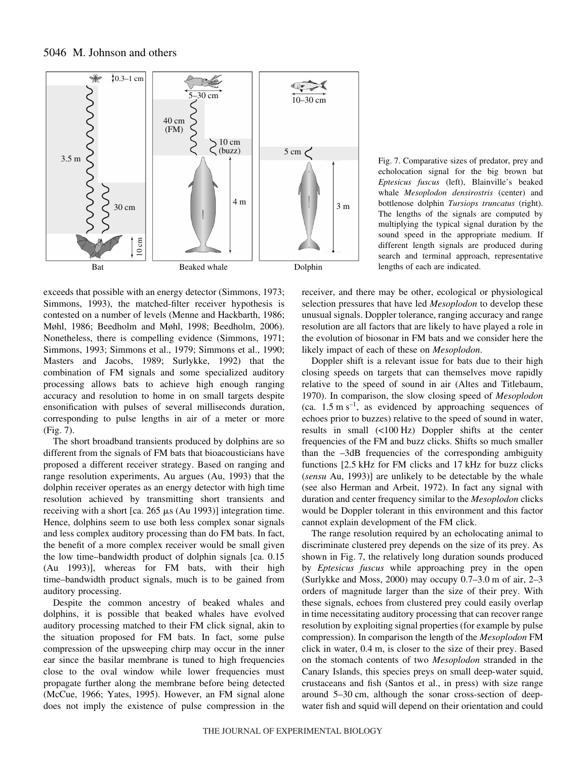

exceeds that possible with an energy detector (Simmons, 1973; Simmons, 1993), the matched-filter receiver hypothesis is contested on a number of levels (Menne and Hackbarth, 1986; Møhl, 1986; Beedholm and Møhl, 1998; Beedholm, 2006). Nonetheless, there is compelling evidence (Simmons, 1971; Simmons, 1993; Simmons et al., 1979; Simmons et al., 1990; Masters and Jacobs, 1989; Surlykke, 1992) that the combination of FM signals and some specialized auditory processing allows bats to achieve high enough ranging accuracy and resolution to home in on small targets despite ensonification with pulses of several milliseconds duration, corresponding to pulse lengths in air of a meter or more  $(Fig. 7)$ .

The short broadband transients produced by dolphins are so different from the signals of FM bats that bioacousticians have proposed a different receiver strategy. Based on ranging and range resolution experiments, Au argues (Au, 1993) that the dolphin receiver operates as an energy detector with high time resolution achieved by transmitting short transients and receiving with a short [ca.  $265 \mu s$  (Au 1993)] integration time. Hence, dolphins seem to use both less complex sonar signals and less complex auditory processing than do FM bats. In fact, the benefit of a more complex receiver would be small given the low time–bandwidth product of dolphin signals [ca. 0.15 (Au 1993)], whereas for FM bats, with their high time–bandwidth product signals, much is to be gained from auditory processing.

Despite the common ancestry of beaked whales and dolphins, it is possible that beaked whales have evolved auditory processing matched to their FM click signal, akin to the situation proposed for FM bats. In fact, some pulse compression of the upsweeping chirp may occur in the inner ear since the basilar membrane is tuned to high frequencies close to the oval window while lower frequencies must propagate further along the membrane before being detected (McCue, 1966; Yates, 1995). However, an FM signal alone does not imply the existence of pulse compression in the Fig. 7. Comparative sizes of predator, prey and echolocation signal for the big brown bat *Eptesicus fuscus* (left), Blainville's beaked whale *Mesoplodon densirostris* (center) and bottlenose dolphin *Tursiops truncatus* (right). The lengths of the signals are computed by multiplying the typical signal duration by the sound speed in the appropriate medium. If different length signals are produced during search and terminal approach, representative lengths of each are indicated.

receiver, and there may be other, ecological or physiological selection pressures that have led *Mesoplodon* to develop these unusual signals. Doppler tolerance, ranging accuracy and range resolution are all factors that are likely to have played a role in the evolution of biosonar in FM bats and we consider here the likely impact of each of these on *Mesoplodon*.

Doppler shift is a relevant issue for bats due to their high closing speeds on targets that can themselves move rapidly relative to the speed of sound in air (Altes and Titlebaum, 1970). In comparison, the slow closing speed of *Mesoplodon* (ca.  $1.5~\text{m s}^{-1}$ , as evidenced by approaching sequences of echoes prior to buzzes) relative to the speed of sound in water, results in small  $(<100 Hz)$  Doppler shifts at the center frequencies of the FM and buzz clicks. Shifts so much smaller than the –3dB frequencies of the corresponding ambiguity functions [2.5 kHz for FM clicks and 17 kHz for buzz clicks (*sensu* Au, 1993)] are unlikely to be detectable by the whale (see also Herman and Arbeit, 1972). In fact any signal with duration and center frequency similar to the *Mesoplodon* clicks would be Doppler tolerant in this environment and this factor cannot explain development of the FM click.

The range resolution required by an echolocating animal to discriminate clustered prey depends on the size of its prey. As shown in Fig. 7, the relatively long duration sounds produced by *Eptesicus fuscus* while approaching prey in the open (Surlykke and Moss, 2000) may occupy  $0.7-3.0$  m of air,  $2-3$ orders of magnitude larger than the size of their prey. With these signals, echoes from clustered prey could easily overlap in time necessitating auditory processing that can recover range resolution by exploiting signal properties (for example by pulse compression). In comparison the length of the *Mesoplodon* FM click in water, 0.4 m, is closer to the size of their prey. Based on the stomach contents of two *Mesoplodon* stranded in the Canary Islands, this species preys on small deep-water squid, crustaceans and fish (Santos et al., in press) with size range around 5–30 cm, although the sonar cross-section of deepwater fish and squid will depend on their orientation and could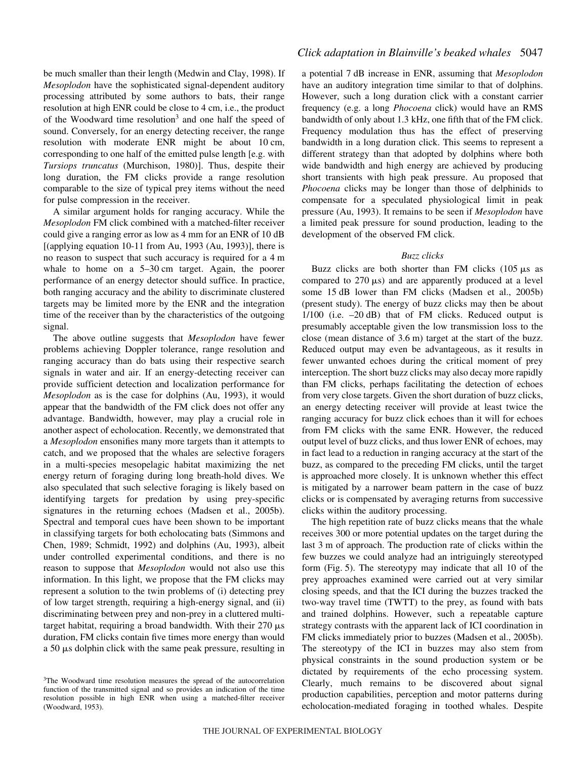be much smaller than their length (Medwin and Clay, 1998). If *Mesoplodon* have the sophisticated signal-dependent auditory processing attributed by some authors to bats, their range resolution at high ENR could be close to 4 cm, i.e., the product of the Woodward time resolution<sup>3</sup> and one half the speed of sound. Conversely, for an energy detecting receiver, the range resolution with moderate ENR might be about 10 cm, corresponding to one half of the emitted pulse length [e.g. with *Tursiops truncatus* (Murchison, 1980)]. Thus, despite their long duration, the FM clicks provide a range resolution comparable to the size of typical prey items without the need for pulse compression in the receiver.

A similar argument holds for ranging accuracy. While the *Mesoplodon* FM click combined with a matched-filter receiver could give a ranging error as low as 4 mm for an ENR of 10 dB [(applying equation 10-11 from Au, 1993 (Au, 1993)], there is no reason to suspect that such accuracy is required for a 4 m whale to home on a  $5-30$  cm target. Again, the poorer performance of an energy detector should suffice. In practice, both ranging accuracy and the ability to discriminate clustered targets may be limited more by the ENR and the integration time of the receiver than by the characteristics of the outgoing signal.

The above outline suggests that *Mesoplodon* have fewer problems achieving Doppler tolerance, range resolution and ranging accuracy than do bats using their respective search signals in water and air. If an energy-detecting receiver can provide sufficient detection and localization performance for *Mesoplodon* as is the case for dolphins (Au, 1993), it would appear that the bandwidth of the FM click does not offer any advantage. Bandwidth, however, may play a crucial role in another aspect of echolocation. Recently, we demonstrated that a *Mesoplodon* ensonifies many more targets than it attempts to catch, and we proposed that the whales are selective foragers in a multi-species mesopelagic habitat maximizing the net energy return of foraging during long breath-hold dives. We also speculated that such selective foraging is likely based on identifying targets for predation by using prey-specific signatures in the returning echoes (Madsen et al., 2005b). Spectral and temporal cues have been shown to be important in classifying targets for both echolocating bats (Simmons and Chen, 1989; Schmidt, 1992) and dolphins (Au, 1993), albeit under controlled experimental conditions, and there is no reason to suppose that *Mesoplodon* would not also use this information. In this light, we propose that the FM clicks may represent a solution to the twin problems of (i) detecting prey of low target strength, requiring a high-energy signal, and (ii) discriminating between prey and non-prey in a cluttered multitarget habitat, requiring a broad bandwidth. With their  $270 \mu s$ duration, FM clicks contain five times more energy than would a 50  $\mu$ s dolphin click with the same peak pressure, resulting in

## *Click adaptation in Blainville's beaked whales* 5047

a potential 7·dB increase in ENR, assuming that *Mesoplodon* have an auditory integration time similar to that of dolphins. However, such a long duration click with a constant carrier frequency (e.g. a long *Phocoena* click) would have an RMS bandwidth of only about 1.3 kHz, one fifth that of the FM click. Frequency modulation thus has the effect of preserving bandwidth in a long duration click. This seems to represent a different strategy than that adopted by dolphins where both wide bandwidth and high energy are achieved by producing short transients with high peak pressure. Au proposed that *Phocoena* clicks may be longer than those of delphinids to compensate for a speculated physiological limit in peak pressure (Au, 1993). It remains to be seen if *Mesoplodon* have a limited peak pressure for sound production, leading to the development of the observed FM click.

### *Buzz clicks*

Buzz clicks are both shorter than FM clicks  $(105 \mu s)$  as compared to  $270 \mu s$ ) and are apparently produced at a level some 15 dB lower than FM clicks (Madsen et al., 2005b) (present study). The energy of buzz clicks may then be about  $1/100$  (i.e.  $-20$  dB) that of FM clicks. Reduced output is presumably acceptable given the low transmission loss to the close (mean distance of  $3.6 \text{ m}$ ) target at the start of the buzz. Reduced output may even be advantageous, as it results in fewer unwanted echoes during the critical moment of prey interception. The short buzz clicks may also decay more rapidly than FM clicks, perhaps facilitating the detection of echoes from very close targets. Given the short duration of buzz clicks, an energy detecting receiver will provide at least twice the ranging accuracy for buzz click echoes than it will for echoes from FM clicks with the same ENR. However, the reduced output level of buzz clicks, and thus lower ENR of echoes, may in fact lead to a reduction in ranging accuracy at the start of the buzz, as compared to the preceding FM clicks, until the target is approached more closely. It is unknown whether this effect is mitigated by a narrower beam pattern in the case of buzz clicks or is compensated by averaging returns from successive clicks within the auditory processing.

The high repetition rate of buzz clicks means that the whale receives 300 or more potential updates on the target during the last 3 m of approach. The production rate of clicks within the few buzzes we could analyze had an intriguingly stereotyped form (Fig. 5). The stereotypy may indicate that all 10 of the prey approaches examined were carried out at very similar closing speeds, and that the ICI during the buzzes tracked the two-way travel time (TWTT) to the prey, as found with bats and trained dolphins. However, such a repeatable capture strategy contrasts with the apparent lack of ICI coordination in FM clicks immediately prior to buzzes (Madsen et al., 2005b). The stereotypy of the ICI in buzzes may also stem from physical constraints in the sound production system or be dictated by requirements of the echo processing system. Clearly, much remains to be discovered about signal production capabilities, perception and motor patterns during echolocation-mediated foraging in toothed whales. Despite

<sup>&</sup>lt;sup>3</sup>The Woodward time resolution measures the spread of the autocorrelation function of the transmitted signal and so provides an indication of the time resolution possible in high ENR when using a matched-filter receiver (Woodward, 1953).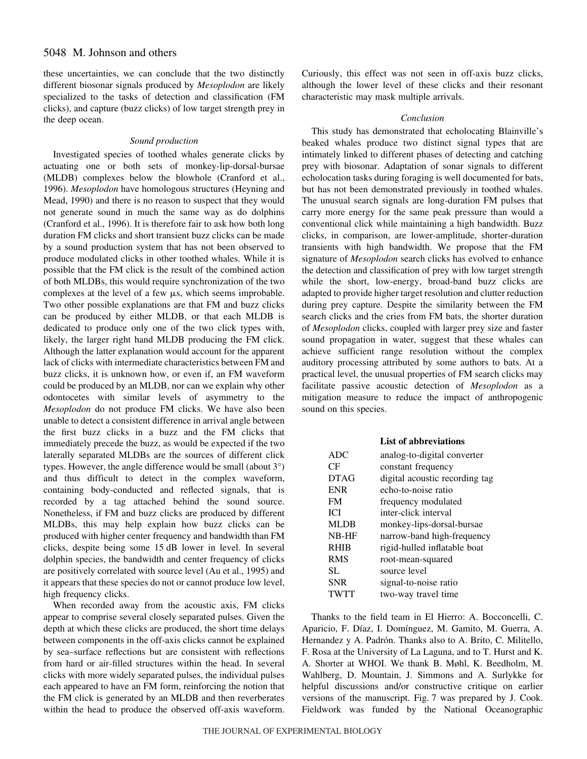these uncertainties, we can conclude that the two distinctly different biosonar signals produced by *Mesoplodon* are likely specialized to the tasks of detection and classification (FM clicks), and capture (buzz clicks) of low target strength prey in the deep ocean.

## *Sound production*

Investigated species of toothed whales generate clicks by actuating one or both sets of monkey-lip-dorsal-bursae (MLDB) complexes below the blowhole (Cranford et al., 1996). *Mesoplodon* have homologous structures (Heyning and Mead, 1990) and there is no reason to suspect that they would not generate sound in much the same way as do dolphins (Cranford et al., 1996). It is therefore fair to ask how both long duration FM clicks and short transient buzz clicks can be made by a sound production system that has not been observed to produce modulated clicks in other toothed whales. While it is possible that the FM click is the result of the combined action of both MLDBs, this would require synchronization of the two complexes at the level of a few  $\mu s$ , which seems improbable. Two other possible explanations are that FM and buzz clicks can be produced by either MLDB, or that each MLDB is dedicated to produce only one of the two click types with, likely, the larger right hand MLDB producing the FM click. Although the latter explanation would account for the apparent lack of clicks with intermediate characteristics between FM and buzz clicks, it is unknown how, or even if, an FM waveform could be produced by an MLDB, nor can we explain why other odontocetes with similar levels of asymmetry to the *Mesoplodon* do not produce FM clicks. We have also been unable to detect a consistent difference in arrival angle between the first buzz clicks in a buzz and the FM clicks that immediately precede the buzz, as would be expected if the two laterally separated MLDBs are the sources of different click types. However, the angle difference would be small (about 3°) and thus difficult to detect in the complex waveform, containing body-conducted and reflected signals, that is recorded by a tag attached behind the sound source. Nonetheless, if FM and buzz clicks are produced by different MLDBs, this may help explain how buzz clicks can be produced with higher center frequency and bandwidth than FM clicks, despite being some 15 dB lower in level. In several dolphin species, the bandwidth and center frequency of clicks are positively correlated with source level (Au et al., 1995) and it appears that these species do not or cannot produce low level, high frequency clicks.

When recorded away from the acoustic axis, FM clicks appear to comprise several closely separated pulses. Given the depth at which these clicks are produced, the short time delays between components in the off-axis clicks cannot be explained by sea–surface reflections but are consistent with reflections from hard or air-filled structures within the head. In several clicks with more widely separated pulses, the individual pulses each appeared to have an FM form, reinforcing the notion that the FM click is generated by an MLDB and then reverberates within the head to produce the observed off-axis waveform. Curiously, this effect was not seen in off-axis buzz clicks, although the lower level of these clicks and their resonant characteristic may mask multiple arrivals.

## *Conclusion*

This study has demonstrated that echolocating Blainville's beaked whales produce two distinct signal types that are intimately linked to different phases of detecting and catching prey with biosonar. Adaptation of sonar signals to different echolocation tasks during foraging is well documented for bats, but has not been demonstrated previously in toothed whales. The unusual search signals are long-duration FM pulses that carry more energy for the same peak pressure than would a conventional click while maintaining a high bandwidth. Buzz clicks, in comparison, are lower-amplitude, shorter-duration transients with high bandwidth. We propose that the FM signature of *Mesoplodon* search clicks has evolved to enhance the detection and classification of prey with low target strength while the short, low-energy, broad-band buzz clicks are adapted to provide higher target resolution and clutter reduction during prey capture. Despite the similarity between the FM search clicks and the cries from FM bats, the shorter duration of *Mesoplodon* clicks, coupled with larger prey size and faster sound propagation in water, suggest that these whales can achieve sufficient range resolution without the complex auditory processing attributed by some authors to bats. At a practical level, the unusual properties of FM search clicks may facilitate passive acoustic detection of *Mesoplodon* as a mitigation measure to reduce the impact of anthropogenic sound on this species.

## **List of abbreviations**

| <b>ADC</b>  | analog-to-digital converter    |
|-------------|--------------------------------|
| CF          | constant frequency             |
| <b>DTAG</b> | digital acoustic recording tag |
| <b>ENR</b>  | echo-to-noise ratio            |
| <b>FM</b>   | frequency modulated            |
| <b>ICI</b>  | inter-click interval           |
| <b>MLDB</b> | monkey-lips-dorsal-bursae      |
| NB-HF       | narrow-band high-frequency     |
| <b>RHIB</b> | rigid-hulled inflatable boat   |
| <b>RMS</b>  | root-mean-squared              |
| SL.         | source level                   |
| <b>SNR</b>  | signal-to-noise ratio          |
| <b>TWTT</b> | two-way travel time            |

Thanks to the field team in El Hierro: A. Bocconcelli, C. Aparicio, F. Díaz, I. Domínguez, M. Gamito, M. Guerra, A. Hernandez y A. Padrón. Thanks also to A. Brito, C. Militello, F. Rosa at the University of La Laguna, and to T. Hurst and K. A. Shorter at WHOI. We thank B. Møhl, K. Beedholm, M. Wahlberg, D. Mountain, J. Simmons and A. Surlykke for helpful discussions and/or constructive critique on earlier versions of the manuscript. Fig. 7 was prepared by J. Cook. Fieldwork was funded by the National Oceanographic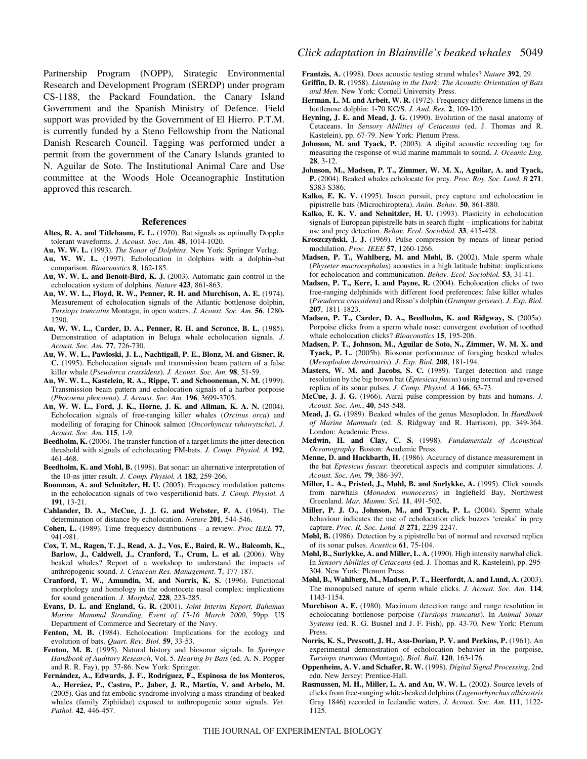Partnership Program (NOPP), Strategic Environmental Research and Development Program (SERDP) under program CS-1188, the Packard Foundation, the Canary Island Government and the Spanish Ministry of Defence. Field support was provided by the Government of El Hierro. P.T.M. is currently funded by a Steno Fellowship from the National Danish Research Council. Tagging was performed under a permit from the government of the Canary Islands granted to N. Aguilar de Soto. The Institutional Animal Care and Use committee at the Woods Hole Oceanographic Institution approved this research.

#### **References**

- **Altes, R. A. and Titlebaum, E. L.** (1970). Bat signals as optimally Doppler tolerant waveforms. *J. Acoust. Soc. Am.* **48**, 1014-1020.
- **Au, W. W. L.** (1993). *The Sonar of Dolphins*. New York: Springer Verlag. **Au, W. W. L.** (1997). Echolocation in dolphins with a dolphin–bat comparison. *Bioacoustics* **8**, 162-185.
- **Au, W. W. L. and Benoit-Bird, K. J.** (2003). Automatic gain control in the echolocation system of dolphins. *Nature* **423**, 861-863.
- **Au, W. W. L., Floyd, R. W., Penner, R. H. and Murchison, A. E.** (1974). Measurement of echolocation signals of the Atlantic bottlenose dolphin, *Tursiops truncatus* Montagu, in open waters. *J. Acoust. Soc. Am.* **56**, 1280- 1290.
- **Au, W. W. L., Carder, D. A., Penner, R. H. and Scronce, B. L.** (1985). Demonstration of adaptation in Beluga whale echolocation signals. *J. Acoust. Soc. Am.* **77**, 726-730.
- **Au, W. W. L., Pawloski, J. L., Nachtigall, P. E., Blonz, M. and Gisner, R. C.** (1995). Echolocation signals and transmission beam pattern of a false killer whale (*Pseudorca crassidens*). *J. Acoust. Soc. Am.* **98**, 51-59.
- **Au, W. W. L., Kastelein, R. A., Rippe, T. and Schooneman, N. M.** (1999). Transmission beam pattern and echolocation signals of a harbor porpoise (*Phocoena phocoena*). *J. Acoust. Soc. Am.* **196**, 3699-3705.
- **Au, W. W. L., Ford, J. K., Horne, J. K. and Allman, K. A. N.** (2004). Echolocation signals of free-ranging killer whales (*Orcinus orca*) and modelling of foraging for Chinook salmon (*Oncorhyncus tshawytscha*). *J. Acoust. Soc. Am.* **115**, 1-9.
- **Beedholm, K.** (2006). The transfer function of a target limits the jitter detection threshold with signals of echolocating FM-bats. *J. Comp. Physiol. A* **192**, 461-468.
- Beedholm, K. and Mohl, B. (1998). Bat sonar: an alternative interpretation of the 10-ns jitter result. *J. Comp. Physiol. A* **182**, 259-266.
- **Boonman, A. and Schnitzler, H. U.** (2005). Frequency modulation patterns in the echolocation signals of two vespertilionid bats. *J. Comp. Physiol. A* **191**, 13-21.
- **Cahlander, D. A., McCue, J. J. G. and Webster, F. A. (**1964). The determination of distance by echolocation. *Nature* **201**, 544-546.
- **Cohen, L.** (1989). Time–frequency distributions a review. *Proc IEEE* **77**, 941-981.
- **Cox, T. M., Ragen, T. J., Read, A. J., Vos, E., Baird, R. W., Balcomb, K.,** Barlow, J., Caldwell, J., Cranford, T., Crum, L. et al. (2006). Why beaked whales? Report of a workshop to understand the impacts of anthropogenic sound. *J. Cetacean Res. Management*. **7**, 177-187.
- **Cranford, T. W., Amundin, M. and Norris, K. S.** (1996). Functional morphology and homology in the odontocete nasal complex: implications for sound generation. *J. Morphol.* **228**, 223-285.
- **Evans, D. L. and England, G. R.** (2001). *Joint Interim Report, Bahamas Marine Mammal Stranding, Event of 15-16 March 2000*, 59pp. US Department of Commerce and Secretary of the Navy.
- Fenton, M. B. (1984). Echolocation: Implications for the ecology and evolution of bats. *Quart. Rev. Biol.* **59**, 33-53.
- **Fenton, M. B.** (1995). Natural history and biosonar signals. In *Springer Handbook of Auditory Research*, Vol. 5. *Hearing by Bats* (ed. A. N. Popper and R. R. Fay), pp. 37-86. New York: Springer.
- **Fernández, A., Edwards, J. F., Rodríguez, F., Espinosa de los Monteros, A., Herráez, P., Castro, P., Jaber, J. R., Martín, V. and Arbelo, M.** (2005). Gas and fat embolic syndrome involving a mass stranding of beaked whales (family Ziphiidae) exposed to anthropogenic sonar signals. *Vet. Pathol.* **42**, 446-457.

**Frantzis, A.** (1998). Does acoustic testing strand whales? *Nature* **392**, 29.

- **Griffin, D. R.** (1958). *Listening in the Dark: The Acoustic Orientation of Bats and Men*. New York: Cornell University Press.
- **Herman, L. M. and Arbeit, W. R.** (1972). Frequency difference limens in the bottlenose dolphin: 1-70 KC/S. *J. Aud. Res.* **2**, 109-120.
- Heyning, J. E. and Mead, J. G. (1990). Evolution of the nasal anatomy of Cetaceans. In *Sensory Abilities of Cetaceans* (ed. J. Thomas and R. Kastelein), pp. 67-79. New York: Plenum Press.
- Johnson, M. and Tyack, P. (2003). A digital acoustic recording tag for measuring the response of wild marine mammals to sound. *J. Oceanic Eng.* **28**, 3-12.
- **Johnson, M., Madsen, P. T., Zimmer, W. M. X., Aguilar, A. and Tyack, P.** (2004). Beaked whales echolocate for prey. *Proc. Roy. Soc. Lond. B* **271**, S383-S386.
- **Kalko, E. K. V.** (1995). Insect pursuit, prey capture and echolocation in pipistrelle bats (Microchiroptera). *Anim. Behav.* **50**, 861-880.
- **Kalko, E. K. V. and Schnitzler, H. U.** (1993). Plasticity in echolocation signals of European pipistrelle bats in search flight – implications for habitat use and prey detection. *Behav. Ecol. Sociobiol.* **33**, 415-428.
- **Kroszczynski, J. J.** (1969). Pulse compression by means of linear period modulation. *Proc. IEEE* **57**, 1260-1266.
- Madsen, P. T., Wahlberg, M. and Møhl, B. (2002). Male sperm whale (*Physeter macrocephalus*) acoustics in a high latitude habitat: implications for echolocation and communication. *Behav. Ecol. Sociobiol.* **53**, 31-41.
- **Madsen, P. T., Kerr, I. and Payne, R.** (2004). Echolocation clicks of two free-ranging delphinids with different food preferences: false killer whales (*Pseudorca crassidens*) and Risso's dolphin (*Grampus griseus*). *J. Exp. Biol.* **207**, 1811-1823.
- **Madsen, P. T., Carder, D. A., Beedholm, K. and Ridgway, S.** (2005a). Porpoise clicks from a sperm whale nose: convergent evolution of toothed whale echolocation clicks? *Bioacoustics* **15**, 195-206.
- **Madsen, P. T., Johnson, M., Aguilar de Soto, N., Zimmer, W. M. X. and Tyack, P. L.** (2005b). Biosonar performance of foraging beaked whales (*Mesoplodon densirostris*). *J. Exp. Biol.* **208**, 181-194.
- **Masters, W. M. and Jacobs, S. C.** (1989). Target detection and range resolution by the big brown bat (*Eptesicus fuscus*) using normal and reversed replica of its sonar pulses. *J. Comp. Physiol. A* **166**, 63-73.
- **McCue, J. J. G.** (1966). Aural pulse compression by bats and humans. *J. Acoust. Soc. Am.*, **40**, 545-548.
- **Mead, J. G.** (1989). Beaked whales of the genus Mesoplodon. In *Handbook of Marine Mammals* (ed. S. Ridgway and R. Harrison), pp. 349-364. London: Academic Press.
- **Medwin, H. and Clay, C. S.** (1998). *Fundamentals of Acoustical Oceanography*. Boston: Academic Press.
- Menne, D. and Hackbarth, H. (1986). Accuracy of distance measurement in the bat *Eptesicus fuscus*: theoretical aspects and computer simulations. *J. Acoust. Soc. Am.* **79**, 386-397.
- Miller, L. A., Pristed, J., Møhl, B. and Surlykke, A. (1995). Click sounds from narwhals (*Monodon monoceros*) in Inglefield Bay, Northwest Greenland. *Mar. Mamm. Sci.* **11**, 491-502.
- Miller, P. J. O., Johnson, M., and Tyack, P. L. (2004). Sperm whale behaviour indicates the use of echolocation click buzzes 'creaks' in prey capture. *Proc. R. Soc. Lond. B* **271**, 2239-2247.
- **Møhl, B.** (1986). Detection by a pipistrelle bat of normal and reversed replica of its sonar pulses. *Acustica* **61**, 75-104.
- **Møhl, B., Surlykke, A. and Miller, L. A.** (1990). High intensity narwhal click. In *Sensory Abilities of Cetaceans* (ed. J. Thomas and R. Kastelein), pp. 295- 304. New York: Plenum Press.
- **Møhl, B., Wahlberg, M., Madsen, P. T., Heerfordt, A. and Lund, A.** (2003). The monopulsed nature of sperm whale clicks. *J. Acoust. Soc. Am.* **114**, 1143-1154.
- **Murchison A. E.** (1980). Maximum detection range and range resolution in echolocating bottlenose porpoise (*Tursiops truncatus*). In *Animal Sonar Systems* (ed. R. G. Busnel and J. F. Fish), pp. 43-70. New York: Plenum Press.
- **Norris, K. S., Prescott, J. H., Asa-Dorian, P. V. and Perkins, P.** (1961). An experimental demonstration of echolocation behavior in the porpoise, *Tursiops truncatus* (Montagu). *Biol. Bull.* **120**, 163-176.
- **Oppenheim, A. V. and Schafer, R. W.** (1998). *Digital Signal Processing*, 2nd edn. New Jersey: Prentice-Hall.
- Rasmussen, M. H., Miller, L. A. and Au, W. W. L. (2002). Source levels of clicks from free-ranging white-beaked dolphins (*Lagenorhynchus albirostris* Gray 1846) recorded in Icelandic waters. *J. Acoust. Soc. Am.* **111**, 1122- 1125.